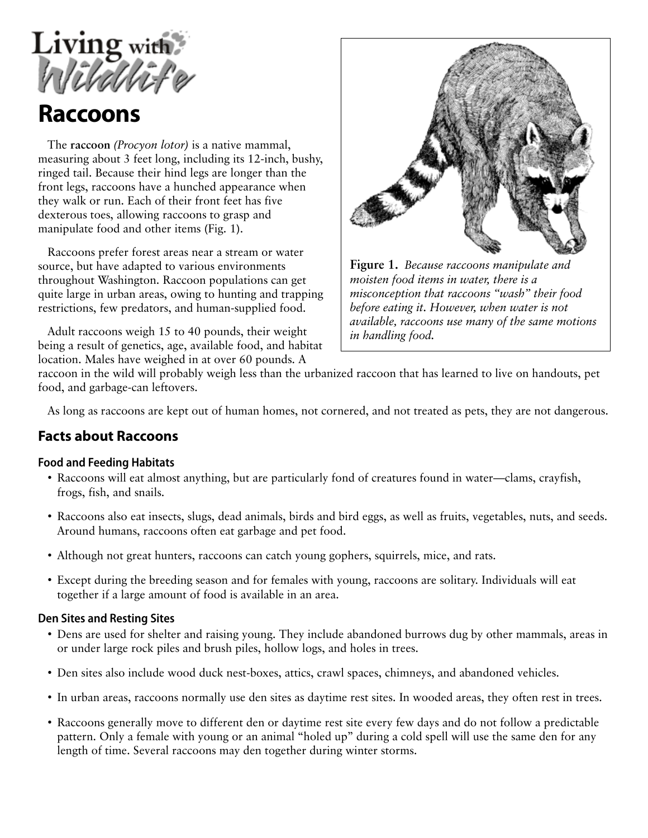

# **Raccoons**

The **raccoon** *(Procyon lotor)* is a native mammal, measuring about 3 feet long, including its 12-inch, bushy, ringed tail. Because their hind legs are longer than the front legs, raccoons have a hunched appearance when they walk or run. Each of their front feet has five dexterous toes, allowing raccoons to grasp and manipulate food and other items (Fig. 1).

Raccoons prefer forest areas near a stream or water source, but have adapted to various environments throughout Washington. Raccoon populations can get quite large in urban areas, owing to hunting and trapping restrictions, few predators, and human-supplied food.

Adult raccoons weigh 15 to 40 pounds, their weight being a result of genetics, age, available food, and habitat location. Males have weighed in at over 60 pounds. A



**Figure 1.** *Because raccoons manipulate and moisten food items in water, there is a misconception that raccoons "wash" their food before eating it. However, when water is not available, raccoons use many of the same motions in handling food.*

raccoon in the wild will probably weigh less than the urbanized raccoon that has learned to live on handouts, pet food, and garbage-can leftovers.

As long as raccoons are kept out of human homes, not cornered, and not treated as pets, they are not dangerous.

# **Facts about Raccoons**

### **Food and Feeding Habitats**

- Raccoons will eat almost anything, but are particularly fond of creatures found in water—clams, crayfish, frogs, fish, and snails.
- Raccoons also eat insects, slugs, dead animals, birds and bird eggs, as well as fruits, vegetables, nuts, and seeds. Around humans, raccoons often eat garbage and pet food.
- Although not great hunters, raccoons can catch young gophers, squirrels, mice, and rats.
- Except during the breeding season and for females with young, raccoons are solitary. Individuals will eat together if a large amount of food is available in an area.

#### **Den Sites and Resting Sites**

- Dens are used for shelter and raising young. They include abandoned burrows dug by other mammals, areas in or under large rock piles and brush piles, hollow logs, and holes in trees.
- Den sites also include wood duck nest-boxes, attics, crawl spaces, chimneys, and abandoned vehicles.
- In urban areas, raccoons normally use den sites as daytime rest sites. In wooded areas, they often rest in trees.
- Raccoons generally move to different den or daytime rest site every few days and do not follow a predictable pattern. Only a female with young or an animal "holed up" during a cold spell will use the same den for any length of time. Several raccoons may den together during winter storms.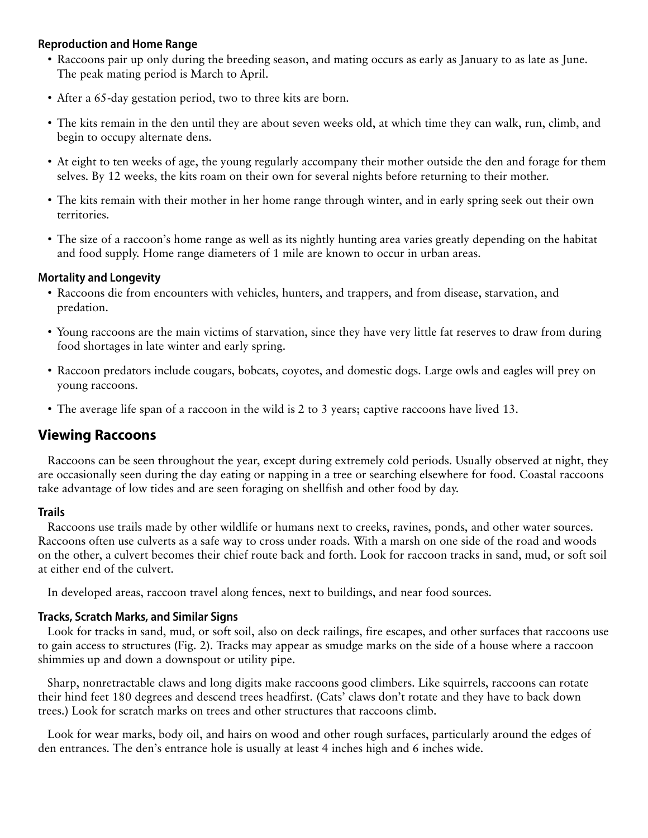### **Reproduction and Home Range**

- Raccoons pair up only during the breeding season, and mating occurs as early as January to as late as June. The peak mating period is March to April.
- After a 65-day gestation period, two to three kits are born.
- The kits remain in the den until they are about seven weeks old, at which time they can walk, run, climb, and begin to occupy alternate dens.
- At eight to ten weeks of age, the young regularly accompany their mother outside the den and forage for them selves. By 12 weeks, the kits roam on their own for several nights before returning to their mother.
- The kits remain with their mother in her home range through winter, and in early spring seek out their own territories.
- The size of a raccoon's home range as well as its nightly hunting area varies greatly depending on the habitat and food supply. Home range diameters of 1 mile are known to occur in urban areas.

### **Mortality and Longevity**

- Raccoons die from encounters with vehicles, hunters, and trappers, and from disease, starvation, and predation.
- Young raccoons are the main victims of starvation, since they have very little fat reserves to draw from during food shortages in late winter and early spring.
- Raccoon predators include cougars, bobcats, coyotes, and domestic dogs. Large owls and eagles will prey on young raccoons.
- The average life span of a raccoon in the wild is 2 to 3 years; captive raccoons have lived 13.

# **Viewing Raccoons**

Raccoons can be seen throughout the year, except during extremely cold periods. Usually observed at night, they are occasionally seen during the day eating or napping in a tree or searching elsewhere for food. Coastal raccoons take advantage of low tides and are seen foraging on shellfish and other food by day.

#### **Trails**

Raccoons use trails made by other wildlife or humans next to creeks, ravines, ponds, and other water sources. Raccoons often use culverts as a safe way to cross under roads. With a marsh on one side of the road and woods on the other, a culvert becomes their chief route back and forth. Look for raccoon tracks in sand, mud, or soft soil at either end of the culvert.

In developed areas, raccoon travel along fences, next to buildings, and near food sources.

#### **Tracks, Scratch Marks, and Similar Signs**

Look for tracks in sand, mud, or soft soil, also on deck railings, fire escapes, and other surfaces that raccoons use to gain access to structures (Fig. 2). Tracks may appear as smudge marks on the side of a house where a raccoon shimmies up and down a downspout or utility pipe.

Sharp, nonretractable claws and long digits make raccoons good climbers. Like squirrels, raccoons can rotate their hind feet 180 degrees and descend trees headfirst. (Cats' claws don't rotate and they have to back down trees.) Look for scratch marks on trees and other structures that raccoons climb.

Look for wear marks, body oil, and hairs on wood and other rough surfaces, particularly around the edges of den entrances. The den's entrance hole is usually at least 4 inches high and 6 inches wide.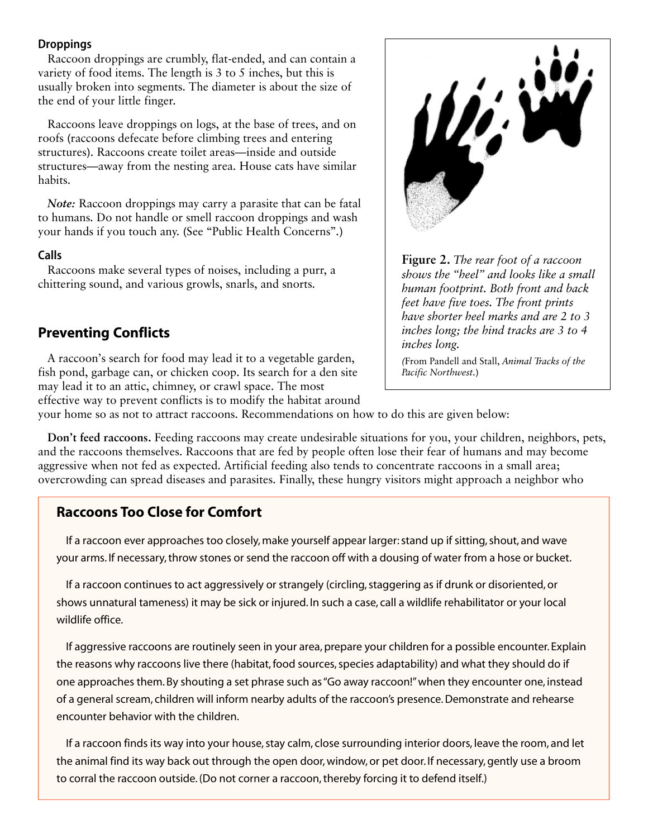#### **Droppings**

Raccoon droppings are crumbly, flat-ended, and can contain a variety of food items. The length is 3 to 5 inches, but this is usually broken into segments. The diameter is about the size of the end of your little finger.

Raccoons leave droppings on logs, at the base of trees, and on roofs (raccoons defecate before climbing trees and entering structures). Raccoons create toilet areas—inside and outside structures—away from the nesting area. House cats have similar habits.

*Note:* Raccoon droppings may carry a parasite that can be fatal to humans. Do not handle or smell raccoon droppings and wash your hands if you touch any. (See "Public Health Concerns".)

#### **Calls**

Raccoons make several types of noises, including a purr, a chittering sound, and various growls, snarls, and snorts.

# **Preventing Conflicts**

A raccoon's search for food may lead it to a vegetable garden, fish pond, garbage can, or chicken coop. Its search for a den site may lead it to an attic, chimney, or crawl space. The most effective way to prevent conflicts is to modify the habitat around



**Figure 2.** *The rear foot of a raccoon shows the "heel" and looks like a small human footprint. Both front and back feet have five toes. The front prints have shorter heel marks and are 2 to 3 inches long; the hind tracks are 3 to 4 inches long.*

*(*From Pandell and Stall, *Animal Tracks of the Pacific Northwest.*)

your home so as not to attract raccoons. Recommendations on how to do this are given below:

**Don't feed raccoons.** Feeding raccoons may create undesirable situations for you, your children, neighbors, pets, and the raccoons themselves. Raccoons that are fed by people often lose their fear of humans and may become aggressive when not fed as expected. Artificial feeding also tends to concentrate raccoons in a small area; overcrowding can spread diseases and parasites. Finally, these hungry visitors might approach a neighbor who

# **Raccoons Too Close for Comfort**

If a raccoon ever approaches too closely, make yourself appear larger: stand up if sitting, shout, and wave your arms. If necessary, throw stones or send the raccoon off with a dousing of water from a hose or bucket.

If a raccoon continues to act aggressively or strangely (circling, staggering as if drunk or disoriented, or shows unnatural tameness) it may be sick or injured. In such a case, call a wildlife rehabilitator or your local wildlife office.

If aggressive raccoons are routinely seen in your area, prepare your children for a possible encounter. Explain the reasons why raccoons live there (habitat, food sources, species adaptability) and what they should do if one approaches them. By shouting a set phrase such as "Go away raccoon!" when they encounter one, instead of a general scream, children will inform nearby adults of the raccoon's presence. Demonstrate and rehearse encounter behavior with the children.

If a raccoon finds its way into your house, stay calm, close surrounding interior doors, leave the room, and let the animal find its way back out through the open door, window, or pet door. If necessary, gently use a broom to corral the raccoon outside. (Do not corner a raccoon, thereby forcing it to defend itself.)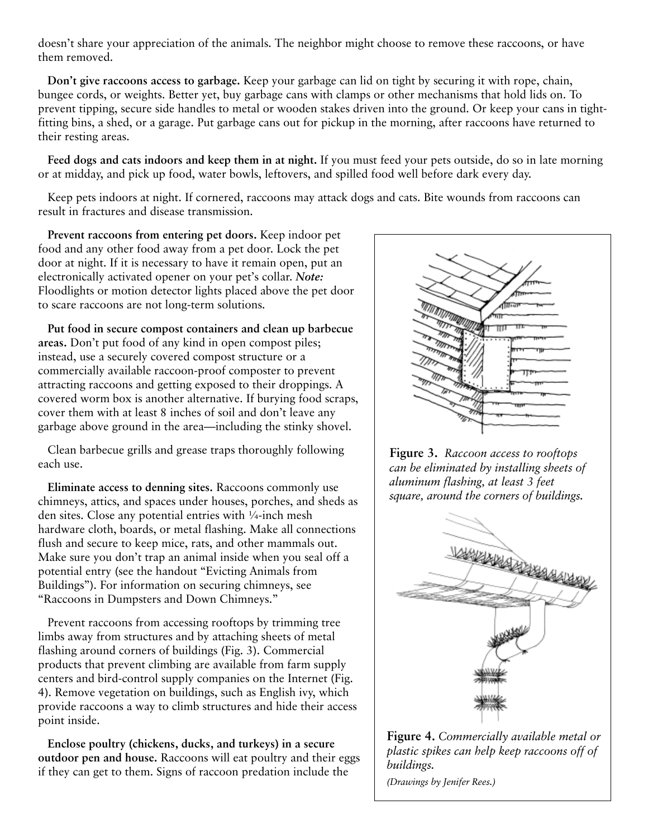doesn't share your appreciation of the animals. The neighbor might choose to remove these raccoons, or have them removed.

**Don't give raccoons access to garbage.** Keep your garbage can lid on tight by securing it with rope, chain, bungee cords, or weights. Better yet, buy garbage cans with clamps or other mechanisms that hold lids on. To prevent tipping, secure side handles to metal or wooden stakes driven into the ground. Or keep your cans in tightfitting bins, a shed, or a garage. Put garbage cans out for pickup in the morning, after raccoons have returned to their resting areas.

**Feed dogs and cats indoors and keep them in at night.** If you must feed your pets outside, do so in late morning or at midday, and pick up food, water bowls, leftovers, and spilled food well before dark every day.

Keep pets indoors at night. If cornered, raccoons may attack dogs and cats. Bite wounds from raccoons can result in fractures and disease transmission.

**Prevent raccoons from entering pet doors.** Keep indoor pet food and any other food away from a pet door. Lock the pet door at night. If it is necessary to have it remain open, put an electronically activated opener on your pet's collar. *Note:* Floodlights or motion detector lights placed above the pet door to scare raccoons are not long-term solutions.

**Put food in secure compost containers and clean up barbecue areas.** Don't put food of any kind in open compost piles; instead, use a securely covered compost structure or a commercially available raccoon-proof composter to prevent attracting raccoons and getting exposed to their droppings. A covered worm box is another alternative. If burying food scraps, cover them with at least 8 inches of soil and don't leave any garbage above ground in the area—including the stinky shovel.

Clean barbecue grills and grease traps thoroughly following each use.

**Eliminate access to denning sites.** Raccoons commonly use chimneys, attics, and spaces under houses, porches, and sheds as den sites. Close any potential entries with ¼-inch mesh hardware cloth, boards, or metal flashing. Make all connections flush and secure to keep mice, rats, and other mammals out. Make sure you don't trap an animal inside when you seal off a potential entry (see the handout "Evicting Animals from Buildings"). For information on securing chimneys, see "Raccoons in Dumpsters and Down Chimneys."

Prevent raccoons from accessing rooftops by trimming tree limbs away from structures and by attaching sheets of metal flashing around corners of buildings (Fig. 3). Commercial products that prevent climbing are available from farm supply centers and bird-control supply companies on the Internet (Fig. 4). Remove vegetation on buildings, such as English ivy, which provide raccoons a way to climb structures and hide their access point inside.

**Enclose poultry (chickens, ducks, and turkeys) in a secure outdoor pen and house.** Raccoons will eat poultry and their eggs if they can get to them. Signs of raccoon predation include the



**Figure 3.** *Raccoon access to rooftops can be eliminated by installing sheets of aluminum flashing, at least 3 feet square, around the corners of buildings.*



**Figure 4.** *Commercially available metal or plastic spikes can help keep raccoons off of buildings. (Drawings by Jenifer Rees.)*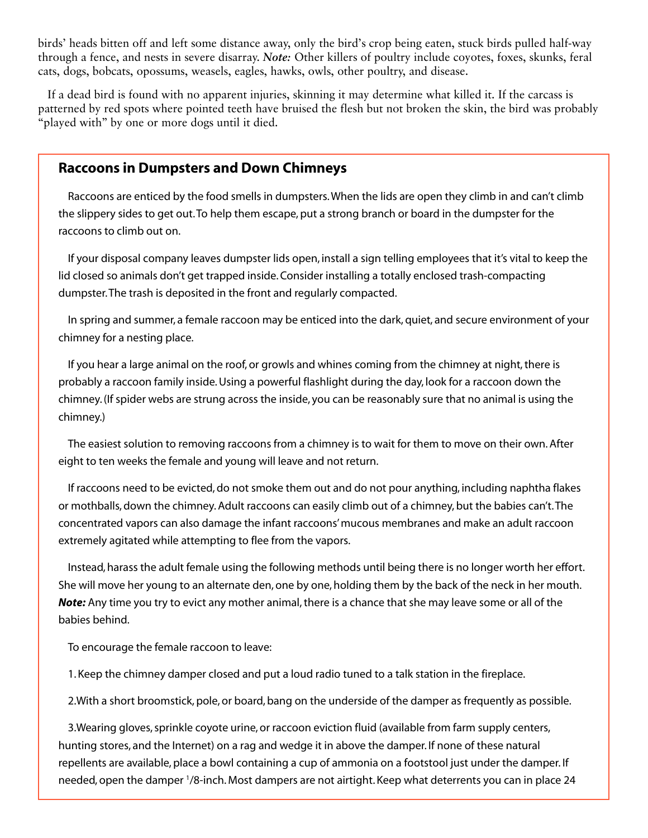birds' heads bitten off and left some distance away, only the bird's crop being eaten, stuck birds pulled half-way through a fence, and nests in severe disarray. *Note:* Other killers of poultry include coyotes, foxes, skunks, feral cats, dogs, bobcats, opossums, weasels, eagles, hawks, owls, other poultry, and disease.

If a dead bird is found with no apparent injuries, skinning it may determine what killed it. If the carcass is patterned by red spots where pointed teeth have bruised the flesh but not broken the skin, the bird was probably "played with" by one or more dogs until it died.

### **Raccoons in Dumpsters and Down Chimneys**

Raccoons are enticed by the food smells in dumpsters. When the lids are open they climb in and can't climb the slippery sides to get out. To help them escape, put a strong branch or board in the dumpster for the raccoons to climb out on.

If your disposal company leaves dumpster lids open, install a sign telling employees that it's vital to keep the lid closed so animals don't get trapped inside. Consider installing a totally enclosed trash-compacting dumpster. The trash is deposited in the front and regularly compacted.

In spring and summer, a female raccoon may be enticed into the dark, quiet, and secure environment of your chimney for a nesting place.

If you hear a large animal on the roof, or growls and whines coming from the chimney at night, there is probably a raccoon family inside. Using a powerful flashlight during the day, look for a raccoon down the chimney. (If spider webs are strung across the inside, you can be reasonably sure that no animal is using the chimney.)

The easiest solution to removing raccoons from a chimney is to wait for them to move on their own. After eight to ten weeks the female and young will leave and not return.

If raccoons need to be evicted, do not smoke them out and do not pour anything, including naphtha flakes or mothballs, down the chimney. Adult raccoons can easily climb out of a chimney, but the babies can't. The concentrated vapors can also damage the infant raccoons' mucous membranes and make an adult raccoon extremely agitated while attempting to flee from the vapors.

Instead, harass the adult female using the following methods until being there is no longer worth her effort. She will move her young to an alternate den, one by one, holding them by the back of the neck in her mouth. *Note:* Any time you try to evict any mother animal, there is a chance that she may leave some or all of the babies behind.

To encourage the female raccoon to leave:

1. Keep the chimney damper closed and put a loud radio tuned to a talk station in the fireplace.

2.With a short broomstick, pole, or board, bang on the underside of the damper as frequently as possible.

3.Wearing gloves, sprinkle coyote urine, or raccoon eviction fluid (available from farm supply centers, hunting stores, and the Internet) on a rag and wedge it in above the damper. If none of these natural repellents are available, place a bowl containing a cup of ammonia on a footstool just under the damper. If needed, open the damper 1/8-inch. Most dampers are not airtight. Keep what deterrents you can in place 24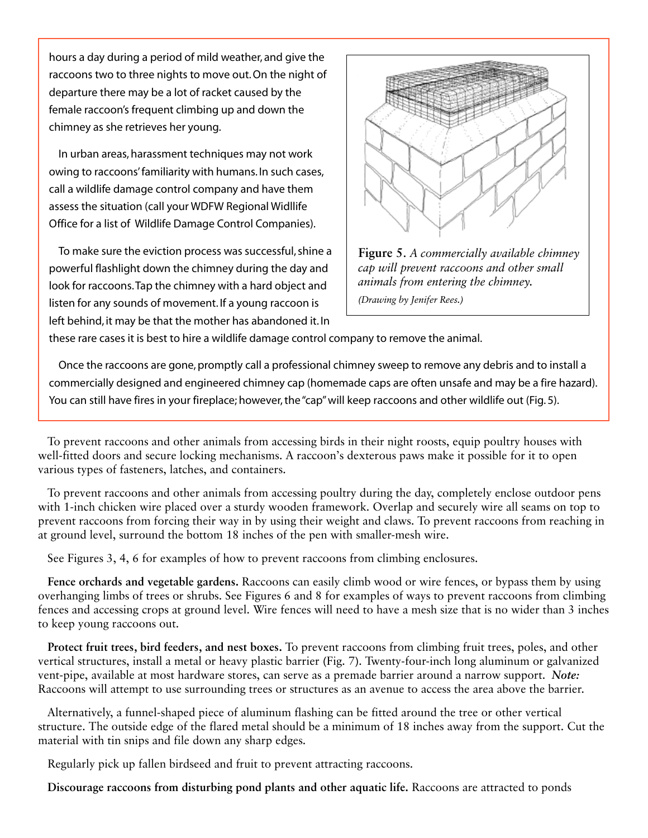hours a day during a period of mild weather, and give the raccoons two to three nights to move out. On the night of departure there may be a lot of racket caused by the female raccoon's frequent climbing up and down the chimney as she retrieves her young.

In urban areas, harassment techniques may not work owing to raccoons' familiarity with humans. In such cases, call a wildlife damage control company and have them assess the situation (call your WDFW Regional Widllife Office for a list of Wildlife Damage Control Companies).

To make sure the eviction process was successful, shine a powerful flashlight down the chimney during the day and look for raccoons. Tap the chimney with a hard object and listen for any sounds of movement. If a young raccoon is left behind, it may be that the mother has abandoned it. In



**Figure 5**. *A commercially available chimney cap will prevent raccoons and other small animals from entering the chimney. (Drawing by Jenifer Rees.)*

these rare cases it is best to hire a wildlife damage control company to remove the animal.

Once the raccoons are gone, promptly call a professional chimney sweep to remove any debris and to install a commercially designed and engineered chimney cap (homemade caps are often unsafe and may be a fire hazard). You can still have fires in your fireplace; however, the "cap" will keep raccoons and other wildlife out (Fig. 5).

To prevent raccoons and other animals from accessing birds in their night roosts, equip poultry houses with well-fitted doors and secure locking mechanisms. A raccoon's dexterous paws make it possible for it to open various types of fasteners, latches, and containers.

To prevent raccoons and other animals from accessing poultry during the day, completely enclose outdoor pens with 1-inch chicken wire placed over a sturdy wooden framework. Overlap and securely wire all seams on top to prevent raccoons from forcing their way in by using their weight and claws. To prevent raccoons from reaching in at ground level, surround the bottom 18 inches of the pen with smaller-mesh wire.

See Figures 3, 4, 6 for examples of how to prevent raccoons from climbing enclosures.

**Fence orchards and vegetable gardens.** Raccoons can easily climb wood or wire fences, or bypass them by using overhanging limbs of trees or shrubs. See Figures 6 and 8 for examples of ways to prevent raccoons from climbing fences and accessing crops at ground level. Wire fences will need to have a mesh size that is no wider than 3 inches to keep young raccoons out.

**Protect fruit trees, bird feeders, and nest boxes.** To prevent raccoons from climbing fruit trees, poles, and other vertical structures, install a metal or heavy plastic barrier (Fig. 7). Twenty-four-inch long aluminum or galvanized vent-pipe, available at most hardware stores, can serve as a premade barrier around a narrow support. *Note:* Raccoons will attempt to use surrounding trees or structures as an avenue to access the area above the barrier.

Alternatively, a funnel-shaped piece of aluminum flashing can be fitted around the tree or other vertical structure. The outside edge of the flared metal should be a minimum of 18 inches away from the support. Cut the material with tin snips and file down any sharp edges.

Regularly pick up fallen birdseed and fruit to prevent attracting raccoons.

**Discourage raccoons from disturbing pond plants and other aquatic life.** Raccoons are attracted to ponds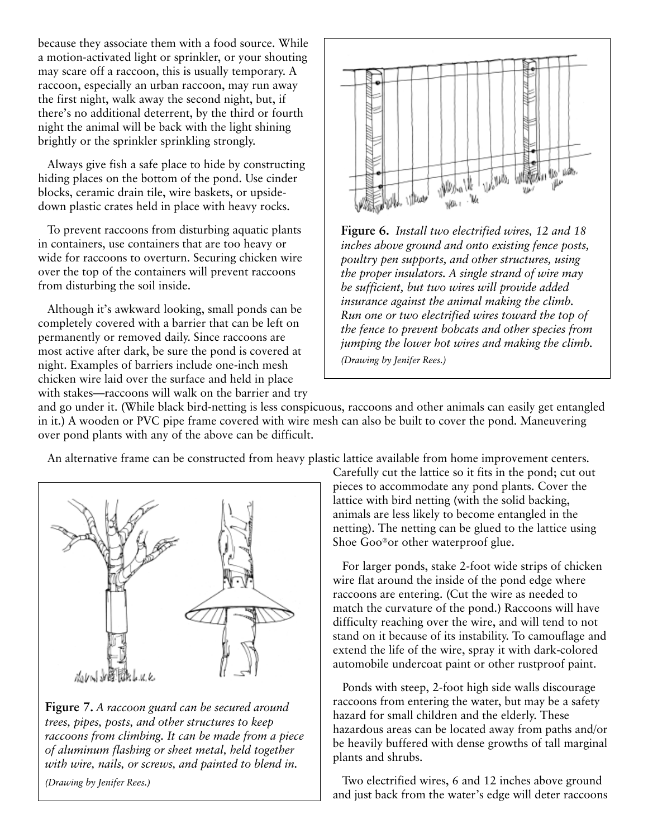because they associate them with a food source. While a motion-activated light or sprinkler, or your shouting may scare off a raccoon, this is usually temporary. A raccoon, especially an urban raccoon, may run away the first night, walk away the second night, but, if there's no additional deterrent, by the third or fourth night the animal will be back with the light shining brightly or the sprinkler sprinkling strongly.

Always give fish a safe place to hide by constructing hiding places on the bottom of the pond. Use cinder blocks, ceramic drain tile, wire baskets, or upsidedown plastic crates held in place with heavy rocks.

To prevent raccoons from disturbing aquatic plants in containers, use containers that are too heavy or wide for raccoons to overturn. Securing chicken wire over the top of the containers will prevent raccoons from disturbing the soil inside.

Although it's awkward looking, small ponds can be completely covered with a barrier that can be left on permanently or removed daily. Since raccoons are most active after dark, be sure the pond is covered at night. Examples of barriers include one-inch mesh chicken wire laid over the surface and held in place with stakes—raccoons will walk on the barrier and try



**Figure 6.** *Install two electrified wires, 12 and 18 inches above ground and onto existing fence posts, poultry pen supports, and other structures, using the proper insulators. A single strand of wire may be sufficient, but two wires will provide added insurance against the animal making the climb. Run one or two electrified wires toward the top of the fence to prevent bobcats and other species from jumping the lower hot wires and making the climb. (Drawing by Jenifer Rees.)*

and go under it. (While black bird-netting is less conspicuous, raccoons and other animals can easily get entangled in it.) A wooden or PVC pipe frame covered with wire mesh can also be built to cover the pond. Maneuvering over pond plants with any of the above can be difficult.

An alternative frame can be constructed from heavy plastic lattice available from home improvement centers.



**Figure 7.** *A raccoon guard can be secured around trees, pipes, posts, and other structures to keep raccoons from climbing. It can be made from a piece of aluminum flashing or sheet metal, held together with wire, nails, or screws, and painted to blend in.*

*(Drawing by Jenifer Rees.)*

Carefully cut the lattice so it fits in the pond; cut out pieces to accommodate any pond plants. Cover the lattice with bird netting (with the solid backing, animals are less likely to become entangled in the netting). The netting can be glued to the lattice using Shoe Goo®or other waterproof glue.

For larger ponds, stake 2-foot wide strips of chicken wire flat around the inside of the pond edge where raccoons are entering. (Cut the wire as needed to match the curvature of the pond.) Raccoons will have difficulty reaching over the wire, and will tend to not stand on it because of its instability. To camouflage and extend the life of the wire, spray it with dark-colored automobile undercoat paint or other rustproof paint.

Ponds with steep, 2-foot high side walls discourage raccoons from entering the water, but may be a safety hazard for small children and the elderly. These hazardous areas can be located away from paths and/or be heavily buffered with dense growths of tall marginal plants and shrubs.

Two electrified wires, 6 and 12 inches above ground and just back from the water's edge will deter raccoons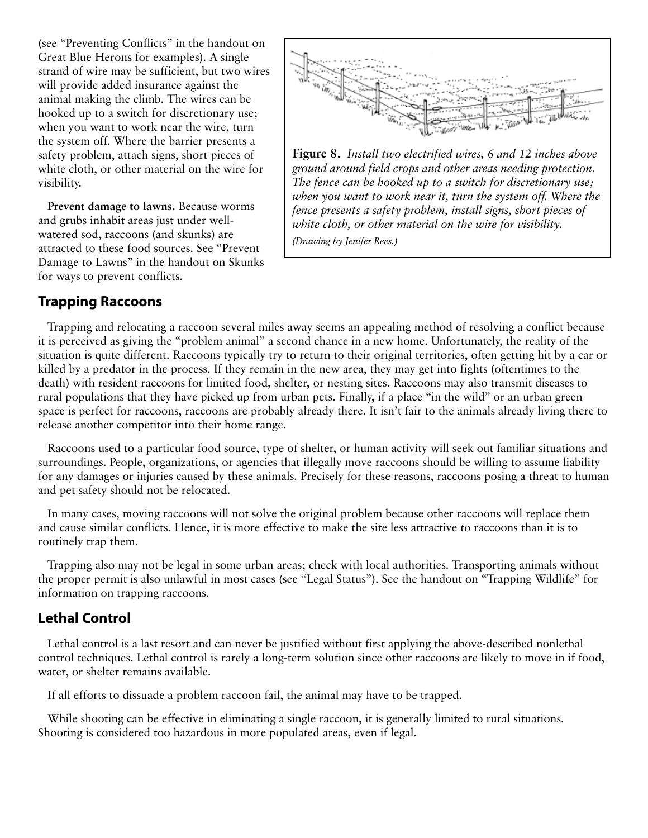(see "Preventing Conflicts" in the handout on Great Blue Herons for examples). A single strand of wire may be sufficient, but two wires will provide added insurance against the animal making the climb. The wires can be hooked up to a switch for discretionary use; when you want to work near the wire, turn the system off. Where the barrier presents a safety problem, attach signs, short pieces of white cloth, or other material on the wire for visibility.

**Prevent damage to lawns.** Because worms and grubs inhabit areas just under wellwatered sod, raccoons (and skunks) are attracted to these food sources. See "Prevent Damage to Lawns" in the handout on Skunks for ways to prevent conflicts.



**Figure 8.** *Install two electrified wires, 6 and 12 inches above ground around field crops and other areas needing protection. The fence can be hooked up to a switch for discretionary use; when you want to work near it, turn the system off. Where the fence presents a safety problem, install signs, short pieces of white cloth, or other material on the wire for visibility. (Drawing by Jenifer Rees.)*

### **Trapping Raccoons**

Trapping and relocating a raccoon several miles away seems an appealing method of resolving a conflict because it is perceived as giving the "problem animal" a second chance in a new home. Unfortunately, the reality of the situation is quite different. Raccoons typically try to return to their original territories, often getting hit by a car or killed by a predator in the process. If they remain in the new area, they may get into fights (oftentimes to the death) with resident raccoons for limited food, shelter, or nesting sites. Raccoons may also transmit diseases to rural populations that they have picked up from urban pets. Finally, if a place "in the wild" or an urban green space is perfect for raccoons, raccoons are probably already there. It isn't fair to the animals already living there to release another competitor into their home range.

Raccoons used to a particular food source, type of shelter, or human activity will seek out familiar situations and surroundings. People, organizations, or agencies that illegally move raccoons should be willing to assume liability for any damages or injuries caused by these animals. Precisely for these reasons, raccoons posing a threat to human and pet safety should not be relocated.

In many cases, moving raccoons will not solve the original problem because other raccoons will replace them and cause similar conflicts. Hence, it is more effective to make the site less attractive to raccoons than it is to routinely trap them.

Trapping also may not be legal in some urban areas; check with local authorities. Transporting animals without the proper permit is also unlawful in most cases (see "Legal Status"). See the handout on "Trapping Wildlife" for information on trapping raccoons.

### **Lethal Control**

Lethal control is a last resort and can never be justified without first applying the above-described nonlethal control techniques. Lethal control is rarely a long-term solution since other raccoons are likely to move in if food, water, or shelter remains available.

If all efforts to dissuade a problem raccoon fail, the animal may have to be trapped.

While shooting can be effective in eliminating a single raccoon, it is generally limited to rural situations. Shooting is considered too hazardous in more populated areas, even if legal.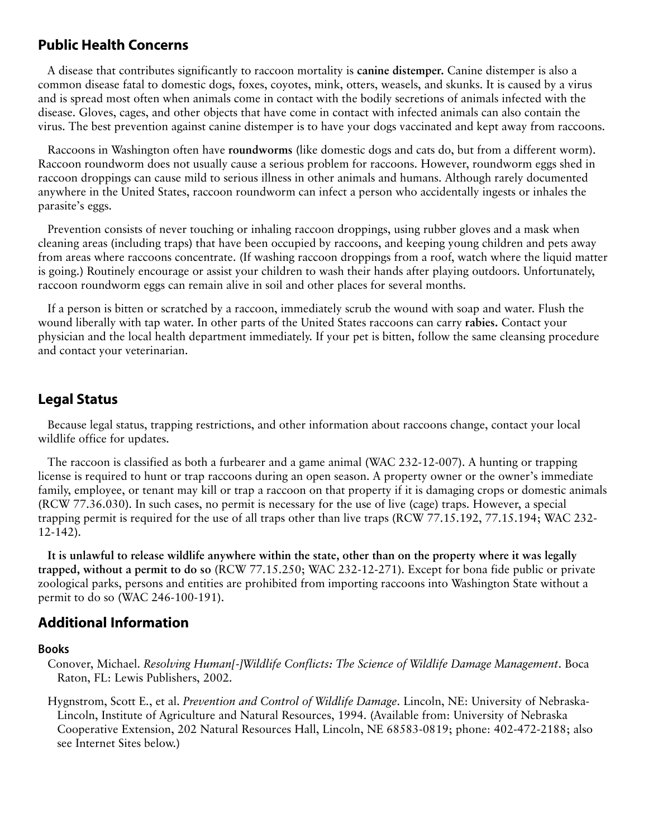# **Public Health Concerns**

A disease that contributes significantly to raccoon mortality is **canine distemper.** Canine distemper is also a common disease fatal to domestic dogs, foxes, coyotes, mink, otters, weasels, and skunks. It is caused by a virus and is spread most often when animals come in contact with the bodily secretions of animals infected with the disease. Gloves, cages, and other objects that have come in contact with infected animals can also contain the virus. The best prevention against canine distemper is to have your dogs vaccinated and kept away from raccoons.

Raccoons in Washington often have **roundworms** (like domestic dogs and cats do, but from a different worm). Raccoon roundworm does not usually cause a serious problem for raccoons. However, roundworm eggs shed in raccoon droppings can cause mild to serious illness in other animals and humans. Although rarely documented anywhere in the United States, raccoon roundworm can infect a person who accidentally ingests or inhales the parasite's eggs.

Prevention consists of never touching or inhaling raccoon droppings, using rubber gloves and a mask when cleaning areas (including traps) that have been occupied by raccoons, and keeping young children and pets away from areas where raccoons concentrate. (If washing raccoon droppings from a roof, watch where the liquid matter is going.) Routinely encourage or assist your children to wash their hands after playing outdoors. Unfortunately, raccoon roundworm eggs can remain alive in soil and other places for several months.

If a person is bitten or scratched by a raccoon, immediately scrub the wound with soap and water. Flush the wound liberally with tap water. In other parts of the United States raccoons can carry **rabies.** Contact your physician and the local health department immediately. If your pet is bitten, follow the same cleansing procedure and contact your veterinarian.

# **Legal Status**

Because legal status, trapping restrictions, and other information about raccoons change, contact your local wildlife office for updates.

The raccoon is classified as both a furbearer and a game animal (WAC 232-12-007). A hunting or trapping license is required to hunt or trap raccoons during an open season. A property owner or the owner's immediate family, employee, or tenant may kill or trap a raccoon on that property if it is damaging crops or domestic animals (RCW 77.36.030). In such cases, no permit is necessary for the use of live (cage) traps. However, a special trapping permit is required for the use of all traps other than live traps (RCW 77.15.192, 77.15.194; WAC 232- 12-142).

**It is unlawful to release wildlife anywhere within the state, other than on the property where it was legally trapped, without a permit to do so** (RCW 77.15.250; WAC 232-12-271). Except for bona fide public or private zoological parks, persons and entities are prohibited from importing raccoons into Washington State without a permit to do so (WAC 246-100-191).

# **Additional Information**

#### **Books**

Conover, Michael. *Resolving Human[-]Wildlife Conflicts: The Science of Wildlife Damage Management*. Boca Raton, FL: Lewis Publishers, 2002.

Hygnstrom, Scott E., et al. *Prevention and Control of Wildlife Damage*. Lincoln, NE: University of Nebraska-Lincoln, Institute of Agriculture and Natural Resources, 1994. (Available from: University of Nebraska Cooperative Extension, 202 Natural Resources Hall, Lincoln, NE 68583-0819; phone: 402-472-2188; also see Internet Sites below.)